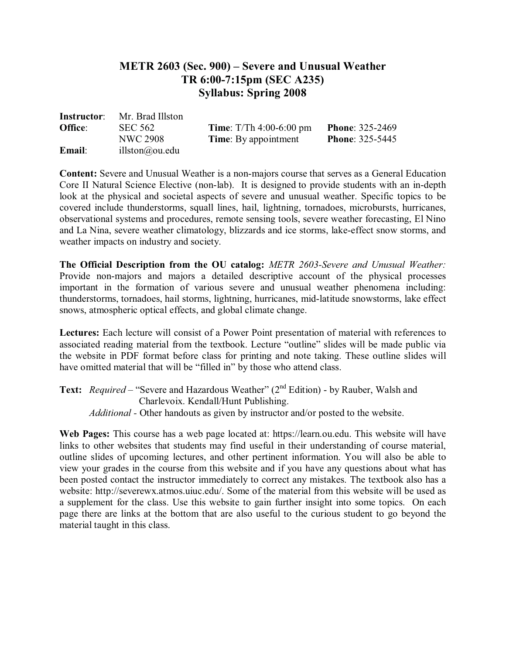## **METR 2603 (Sec. 900) – Severe and Unusual Weather TR 6:00-7:15pm (SEC A235) Syllabus: Spring 2008**

| <b>Instructor:</b> | Mr. Brad Illston |                                  |                        |
|--------------------|------------------|----------------------------------|------------------------|
| Office:            | <b>SEC 562</b>   | <b>Time:</b> $T/Th$ 4:00-6:00 pm | <b>Phone: 325-2469</b> |
|                    | <b>NWC 2908</b>  | <b>Time:</b> By appointment      | <b>Phone: 325-5445</b> |
| Email:             | illston@ou.edu   |                                  |                        |

**Content:** Severe and Unusual Weather is a non-majors course that serves as a General Education Core II Natural Science Elective (non-lab). It is designed to provide students with an in-depth look at the physical and societal aspects of severe and unusual weather. Specific topics to be covered include thunderstorms, squall lines, hail, lightning, tornadoes, microbursts, hurricanes, observational systems and procedures, remote sensing tools, severe weather forecasting, El Nino and La Nina, severe weather climatology, blizzards and ice storms, lake-effect snow storms, and weather impacts on industry and society.

**The Official Description from the OU catalog:** *METR 2603-Severe and Unusual Weather:* Provide non-majors and majors a detailed descriptive account of the physical processes important in the formation of various severe and unusual weather phenomena including: thunderstorms, tornadoes, hail storms, lightning, hurricanes, mid-latitude snowstorms, lake effect snows, atmospheric optical effects, and global climate change.

**Lectures:** Each lecture will consist of a Power Point presentation of material with references to associated reading material from the textbook. Lecture "outline" slides will be made public via the website in PDF format before class for printing and note taking. These outline slides will have omitted material that will be "filled in" by those who attend class.

Text: *Required* – "Severe and Hazardous Weather" (2<sup>nd</sup> Edition) - by Rauber, Walsh and Charlevoix. Kendall/Hunt Publishing. *Additional -* Other handouts as given by instructor and/or posted to the website.

**Web Pages:** This course has a web page located at: https://learn.ou.edu. This website will have links to other websites that students may find useful in their understanding of course material, outline slides of upcoming lectures, and other pertinent information. You will also be able to view your grades in the course from this website and if you have any questions about what has been posted contact the instructor immediately to correct any mistakes. The textbook also has a website: http://severewx.atmos.uiuc.edu/. Some of the material from this website will be used as a supplement for the class. Use this website to gain further insight into some topics. On each page there are links at the bottom that are also useful to the curious student to go beyond the material taught in this class.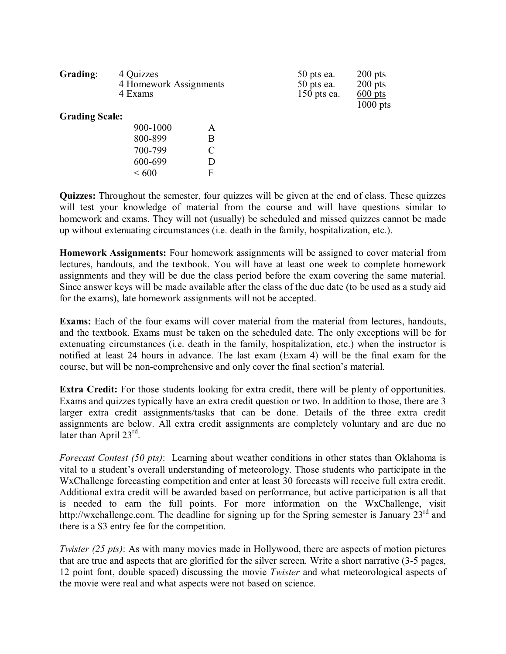| Grading:              | 4 Quizzes<br>4 Homework Assignments<br>4 Exams |   | $50$ pts ea.<br>$50$ pts ea.<br>$150$ pts ea. | $200$ pts<br>$200$ pts<br>$600$ pts<br>$1000$ pts |
|-----------------------|------------------------------------------------|---|-----------------------------------------------|---------------------------------------------------|
| <b>Grading Scale:</b> |                                                |   |                                               |                                                   |
|                       | 900-1000                                       | A |                                               |                                                   |
|                       | 800-899                                        | Β |                                               |                                                   |
|                       | 700-799                                        | C |                                               |                                                   |
|                       | 600-699                                        | D |                                               |                                                   |
|                       | ${}<600$                                       | F |                                               |                                                   |

**Quizzes:** Throughout the semester, four quizzes will be given at the end of class. These quizzes will test your knowledge of material from the course and will have questions similar to homework and exams. They will not (usually) be scheduled and missed quizzes cannot be made up without extenuating circumstances (i.e. death in the family, hospitalization, etc.).

**Homework Assignments:** Four homework assignments will be assigned to cover material from lectures, handouts, and the textbook. You will have at least one week to complete homework assignments and they will be due the class period before the exam covering the same material. Since answer keys will be made available after the class of the due date (to be used as a study aid for the exams), late homework assignments will not be accepted.

**Exams:** Each of the four exams will cover material from the material from lectures, handouts, and the textbook. Exams must be taken on the scheduled date. The only exceptions will be for extenuating circumstances (i.e. death in the family, hospitalization, etc.) when the instructor is notified at least 24 hours in advance. The last exam (Exam 4) will be the final exam for the course, but will be non-comprehensive and only cover the final section's material.

**Extra Credit:** For those students looking for extra credit, there will be plenty of opportunities. Exams and quizzes typically have an extra credit question or two. In addition to those, there are 3 larger extra credit assignments/tasks that can be done. Details of the three extra credit assignments are below. All extra credit assignments are completely voluntary and are due no later than April 23<sup>rd</sup>.

*Forecast Contest (50 pts)*: Learning about weather conditions in other states than Oklahoma is vital to a student's overall understanding of meteorology. Those students who participate in the WxChallenge forecasting competition and enter at least 30 forecasts will receive full extra credit. Additional extra credit will be awarded based on performance, but active participation is all that is needed to earn the full points. For more information on the WxChallenge, visit http://wxchallenge.com. The deadline for signing up for the Spring semester is January 23<sup>rd</sup> and there is a \$3 entry fee for the competition.

*Twister (25 pts)*: As with many movies made in Hollywood, there are aspects of motion pictures that are true and aspects that are glorified for the silver screen. Write a short narrative (3-5 pages, 12 point font, double spaced) discussing the movie *Twister* and what meteorological aspects of the movie were real and what aspects were not based on science.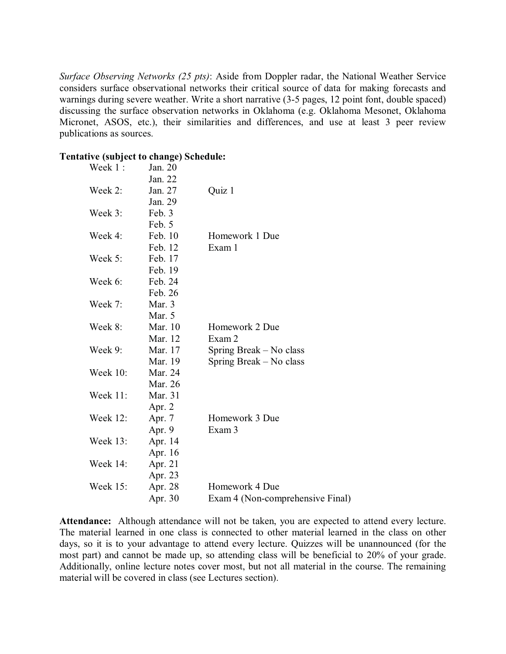*Surface Observing Networks (25 pts)*: Aside from Doppler radar, the National Weather Service considers surface observational networks their critical source of data for making forecasts and warnings during severe weather. Write a short narrative (3-5 pages, 12 point font, double spaced) discussing the surface observation networks in Oklahoma (e.g. Oklahoma Mesonet, Oklahoma Micronet, ASOS, etc.), their similarities and differences, and use at least 3 peer review publications as sources.

## **Tentative (subject to change) Schedule:**

| Week 1:         | Jan. 20  |                                  |
|-----------------|----------|----------------------------------|
|                 | Jan. 22  |                                  |
| Week 2:         | Jan. 27  | Quiz 1                           |
|                 | Jan. 29  |                                  |
| Week 3:         | Feb. 3   |                                  |
|                 | Feb. 5   |                                  |
| Week 4:         | Feb. 10  | Homework 1 Due                   |
|                 | Feb. 12  | Exam 1                           |
| Week 5:         | Feb. 17  |                                  |
|                 | Feb. 19  |                                  |
| Week 6:         | Feb. 24  |                                  |
|                 | Feb. 26  |                                  |
| Week 7:         | Mar. $3$ |                                  |
|                 | Mar. 5   |                                  |
| Week 8:         | Mar. 10  | Homework 2 Due                   |
|                 | Mar. 12  | Exam 2                           |
| Week 9:         | Mar. 17  | Spring Break – No class          |
|                 | Mar. 19  | Spring Break – No class          |
| <b>Week 10:</b> | Mar. 24  |                                  |
|                 | Mar. 26  |                                  |
| Week $11$ :     | Mar. 31  |                                  |
|                 | Apr. 2   |                                  |
| <b>Week 12:</b> | Apr. 7   | Homework 3 Due                   |
|                 | Apr. 9   | Exam 3                           |
| Week 13:        | Apr. 14  |                                  |
|                 | Apr. 16  |                                  |
| Week 14:        | Apr. 21  |                                  |
|                 | Apr. 23  |                                  |
| Week 15:        | Apr. 28  | Homework 4 Due                   |
|                 | Apr. 30  | Exam 4 (Non-comprehensive Final) |
|                 |          |                                  |

**Attendance:** Although attendance will not be taken, you are expected to attend every lecture. The material learned in one class is connected to other material learned in the class on other days, so it is to your advantage to attend every lecture. Quizzes will be unannounced (for the most part) and cannot be made up, so attending class will be beneficial to 20% of your grade. Additionally, online lecture notes cover most, but not all material in the course. The remaining material will be covered in class (see Lectures section).